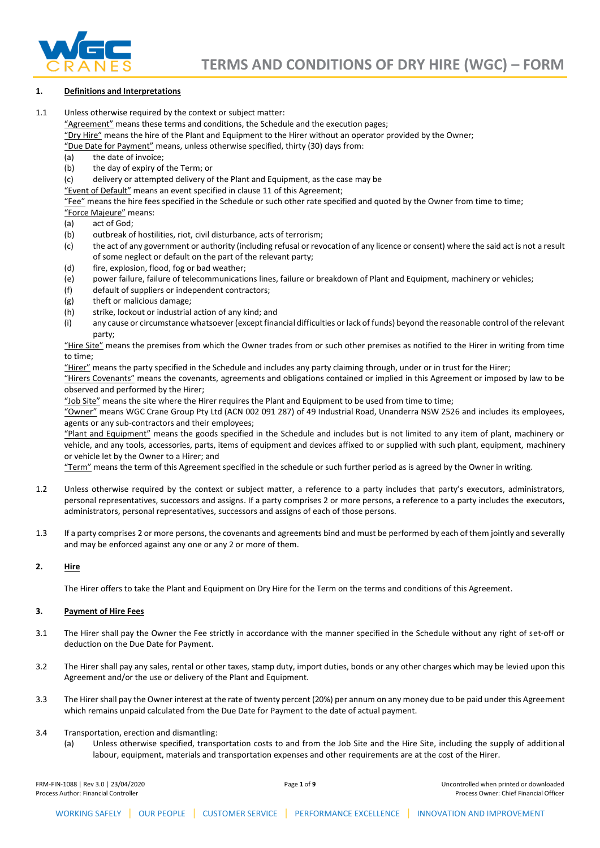

# **1. Definitions and Interpretations**

1.1 Unless otherwise required by the context or subject matter:

"Agreement" means these terms and conditions, the Schedule and the execution pages;

"Dry Hire" means the hire of the Plant and Equipment to the Hirer without an operator provided by the Owner;

"Due Date for Payment" means, unless otherwise specified, thirty (30) days from:

- (a) the date of invoice;
- (b) the day of expiry of the Term; or

(c) delivery or attempted delivery of the Plant and Equipment, as the case may be

"Event of Default" means an event specified in clause 11 of this Agreement;

"Fee" means the hire fees specified in the Schedule or such other rate specified and quoted by the Owner from time to time;

- "Force Majeure" means:
- (a) act of God;
- (b) outbreak of hostilities, riot, civil disturbance, acts of terrorism;
- (c) the act of any government or authority (including refusal or revocation of any licence or consent) where the said act is not a result of some neglect or default on the part of the relevant party;
- (d) fire, explosion, flood, fog or bad weather;
- (e) power failure, failure of telecommunications lines, failure or breakdown of Plant and Equipment, machinery or vehicles;
- (f) default of suppliers or independent contractors;
- (g) theft or malicious damage;
- (h) strike, lockout or industrial action of any kind; and
- (i) any cause or circumstance whatsoever (except financial difficulties or lack of funds) beyond the reasonable control of the relevant party;

"Hire Site" means the premises from which the Owner trades from or such other premises as notified to the Hirer in writing from time to time;

"Hirer" means the party specified in the Schedule and includes any party claiming through, under or in trust for the Hirer;

"Hirers Covenants" means the covenants, agreements and obligations contained or implied in this Agreement or imposed by law to be observed and performed by the Hirer;

"Job Site" means the site where the Hirer requires the Plant and Equipment to be used from time to time;

"Owner" means WGC Crane Group Pty Ltd (ACN 002 091 287) of 49 Industrial Road, Unanderra NSW 2526 and includes its employees, agents or any sub-contractors and their employees;

"Plant and Equipment" means the goods specified in the Schedule and includes but is not limited to any item of plant, machinery or vehicle, and any tools, accessories, parts, items of equipment and devices affixed to or supplied with such plant, equipment, machinery or vehicle let by the Owner to a Hirer; and

"Term" means the term of this Agreement specified in the schedule or such further period as is agreed by the Owner in writing.

- 1.2 Unless otherwise required by the context or subject matter, a reference to a party includes that party's executors, administrators, personal representatives, successors and assigns. If a party comprises 2 or more persons, a reference to a party includes the executors, administrators, personal representatives, successors and assigns of each of those persons.
- 1.3 If a party comprises 2 or more persons, the covenants and agreements bind and must be performed by each of them jointly and severally and may be enforced against any one or any 2 or more of them.

# **2. Hire**

The Hirer offers to take the Plant and Equipment on Dry Hire for the Term on the terms and conditions of this Agreement.

# **3. Payment of Hire Fees**

- 3.1 The Hirer shall pay the Owner the Fee strictly in accordance with the manner specified in the Schedule without any right of set-off or deduction on the Due Date for Payment.
- 3.2 The Hirer shall pay any sales, rental or other taxes, stamp duty, import duties, bonds or any other charges which may be levied upon this Agreement and/or the use or delivery of the Plant and Equipment.
- 3.3 The Hirer shall pay the Owner interest at the rate of twenty percent (20%) per annum on any money due to be paid under this Agreement which remains unpaid calculated from the Due Date for Payment to the date of actual payment.

# 3.4 Transportation, erection and dismantling:

(a) Unless otherwise specified, transportation costs to and from the Job Site and the Hire Site, including the supply of additional labour, equipment, materials and transportation expenses and other requirements are at the cost of the Hirer.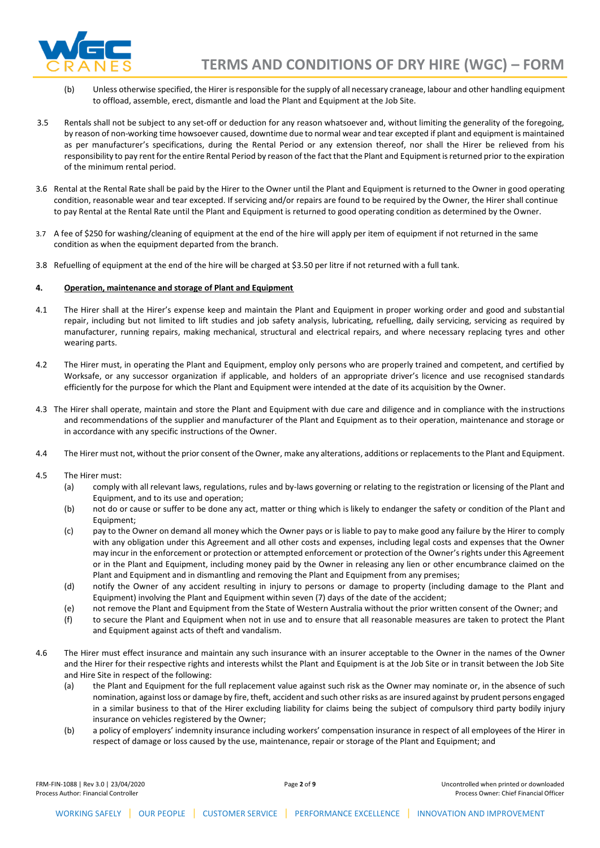

- (b) Unless otherwise specified, the Hirer is responsible for the supply of all necessary craneage, labour and other handling equipment to offload, assemble, erect, dismantle and load the Plant and Equipment at the Job Site.
- 3.5 Rentals shall not be subject to any set-off or deduction for any reason whatsoever and, without limiting the generality of the foregoing, by reason of non-working time howsoever caused, downtime due to normal wear and tear excepted if plant and equipment is maintained as per manufacturer's specifications, during the Rental Period or any extension thereof, nor shall the Hirer be relieved from his responsibility to pay rent for the entire Rental Period by reason of the fact that the Plant and Equipment is returned prior to the expiration of the minimum rental period.
- 3.6 Rental at the Rental Rate shall be paid by the Hirer to the Owner until the Plant and Equipment is returned to the Owner in good operating condition, reasonable wear and tear excepted. If servicing and/or repairs are found to be required by the Owner, the Hirer shall continue to pay Rental at the Rental Rate until the Plant and Equipment is returned to good operating condition as determined by the Owner.
- 3.7 A fee of \$250 for washing/cleaning of equipment at the end of the hire will apply per item of equipment if not returned in the same condition as when the equipment departed from the branch.
- 3.8 Refuelling of equipment at the end of the hire will be charged at \$3.50 per litre if not returned with a full tank.

#### **4. Operation, maintenance and storage of Plant and Equipment**

- 4.1 The Hirer shall at the Hirer's expense keep and maintain the Plant and Equipment in proper working order and good and substantial repair, including but not limited to lift studies and job safety analysis, lubricating, refuelling, daily servicing, servicing as required by manufacturer, running repairs, making mechanical, structural and electrical repairs, and where necessary replacing tyres and other wearing parts.
- 4.2 The Hirer must, in operating the Plant and Equipment, employ only persons who are properly trained and competent, and certified by Worksafe, or any successor organization if applicable, and holders of an appropriate driver's licence and use recognised standards efficiently for the purpose for which the Plant and Equipment were intended at the date of its acquisition by the Owner.
- 4.3 The Hirer shall operate, maintain and store the Plant and Equipment with due care and diligence and in compliance with the instructions and recommendations of the supplier and manufacturer of the Plant and Equipment as to their operation, maintenance and storage or in accordance with any specific instructions of the Owner.
- 4.4 The Hirer must not, without the prior consent of the Owner, make any alterations, additions or replacements to the Plant and Equipment.
- 4.5 The Hirer must:
	- (a) comply with all relevant laws, regulations, rules and by-laws governing or relating to the registration or licensing of the Plant and Equipment, and to its use and operation;
	- (b) not do or cause or suffer to be done any act, matter or thing which is likely to endanger the safety or condition of the Plant and Equipment;
	- (c) pay to the Owner on demand all money which the Owner pays or is liable to pay to make good any failure by the Hirer to comply with any obligation under this Agreement and all other costs and expenses, including legal costs and expenses that the Owner may incur in the enforcement or protection or attempted enforcement or protection of the Owner's rights under this Agreement or in the Plant and Equipment, including money paid by the Owner in releasing any lien or other encumbrance claimed on the Plant and Equipment and in dismantling and removing the Plant and Equipment from any premises;
	- (d) notify the Owner of any accident resulting in injury to persons or damage to property (including damage to the Plant and Equipment) involving the Plant and Equipment within seven (7) days of the date of the accident;
	- (e) not remove the Plant and Equipment from the State of Western Australia without the prior written consent of the Owner; and
	- (f) to secure the Plant and Equipment when not in use and to ensure that all reasonable measures are taken to protect the Plant and Equipment against acts of theft and vandalism.
- 4.6 The Hirer must effect insurance and maintain any such insurance with an insurer acceptable to the Owner in the names of the Owner and the Hirer for their respective rights and interests whilst the Plant and Equipment is at the Job Site or in transit between the Job Site and Hire Site in respect of the following:
	- (a) the Plant and Equipment for the full replacement value against such risk as the Owner may nominate or, in the absence of such nomination, against loss or damage by fire, theft, accident and such other risks as are insured against by prudent persons engaged in a similar business to that of the Hirer excluding liability for claims being the subject of compulsory third party bodily injury insurance on vehicles registered by the Owner;
	- (b) a policy of employers' indemnity insurance including workers' compensation insurance in respect of all employees of the Hirer in respect of damage or loss caused by the use, maintenance, repair or storage of the Plant and Equipment; and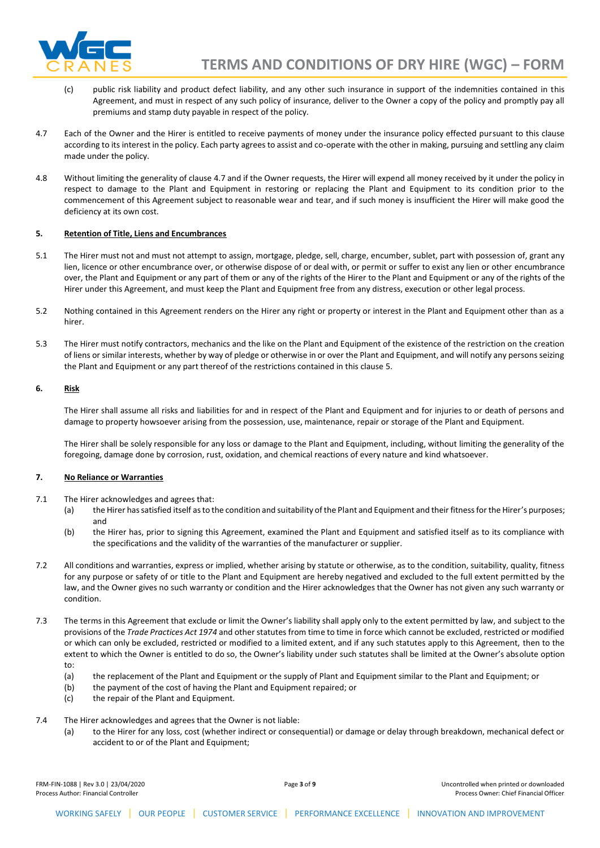

- (c) public risk liability and product defect liability, and any other such insurance in support of the indemnities contained in this Agreement, and must in respect of any such policy of insurance, deliver to the Owner a copy of the policy and promptly pay all premiums and stamp duty payable in respect of the policy.
- 4.7 Each of the Owner and the Hirer is entitled to receive payments of money under the insurance policy effected pursuant to this clause according to its interest in the policy. Each party agrees to assist and co-operate with the other in making, pursuing and settling any claim made under the policy.
- 4.8 Without limiting the generality of clause 4.7 and if the Owner requests, the Hirer will expend all money received by it under the policy in respect to damage to the Plant and Equipment in restoring or replacing the Plant and Equipment to its condition prior to the commencement of this Agreement subject to reasonable wear and tear, and if such money is insufficient the Hirer will make good the deficiency at its own cost.

#### **5. Retention of Title, Liens and Encumbrances**

- 5.1 The Hirer must not and must not attempt to assign, mortgage, pledge, sell, charge, encumber, sublet, part with possession of, grant any lien, licence or other encumbrance over, or otherwise dispose of or deal with, or permit or suffer to exist any lien or other encumbrance over, the Plant and Equipment or any part of them or any of the rights of the Hirer to the Plant and Equipment or any of the rights of the Hirer under this Agreement, and must keep the Plant and Equipment free from any distress, execution or other legal process.
- 5.2 Nothing contained in this Agreement renders on the Hirer any right or property or interest in the Plant and Equipment other than as a hirer.
- 5.3 The Hirer must notify contractors, mechanics and the like on the Plant and Equipment of the existence of the restriction on the creation of liens or similar interests, whether by way of pledge or otherwise in or over the Plant and Equipment, and will notify any persons seizing the Plant and Equipment or any part thereof of the restrictions contained in this clause 5.

#### **6. Risk**

The Hirer shall assume all risks and liabilities for and in respect of the Plant and Equipment and for injuries to or death of persons and damage to property howsoever arising from the possession, use, maintenance, repair or storage of the Plant and Equipment.

The Hirer shall be solely responsible for any loss or damage to the Plant and Equipment, including, without limiting the generality of the foregoing, damage done by corrosion, rust, oxidation, and chemical reactions of every nature and kind whatsoever.

#### **7. No Reliance or Warranties**

- 7.1 The Hirer acknowledges and agrees that:
	- (a) the Hirer has satisfied itself as to the condition and suitability of the Plant and Equipment and their fitness for the Hirer's purposes; and
	- (b) the Hirer has, prior to signing this Agreement, examined the Plant and Equipment and satisfied itself as to its compliance with the specifications and the validity of the warranties of the manufacturer or supplier.
- 7.2 All conditions and warranties, express or implied, whether arising by statute or otherwise, as to the condition, suitability, quality, fitness for any purpose or safety of or title to the Plant and Equipment are hereby negatived and excluded to the full extent permitted by the law, and the Owner gives no such warranty or condition and the Hirer acknowledges that the Owner has not given any such warranty or condition.
- 7.3 The terms in this Agreement that exclude or limit the Owner's liability shall apply only to the extent permitted by law, and subject to the provisions of the *Trade Practices Act 1974* and other statutes from time to time in force which cannot be excluded, restricted or modified or which can only be excluded, restricted or modified to a limited extent, and if any such statutes apply to this Agreement, then to the extent to which the Owner is entitled to do so, the Owner's liability under such statutes shall be limited at the Owner's absolute option to:
	- (a) the replacement of the Plant and Equipment or the supply of Plant and Equipment similar to the Plant and Equipment; or
	- (b) the payment of the cost of having the Plant and Equipment repaired; or
	- (c) the repair of the Plant and Equipment.
- 7.4 The Hirer acknowledges and agrees that the Owner is not liable:
	- (a) to the Hirer for any loss, cost (whether indirect or consequential) or damage or delay through breakdown, mechanical defect or accident to or of the Plant and Equipment;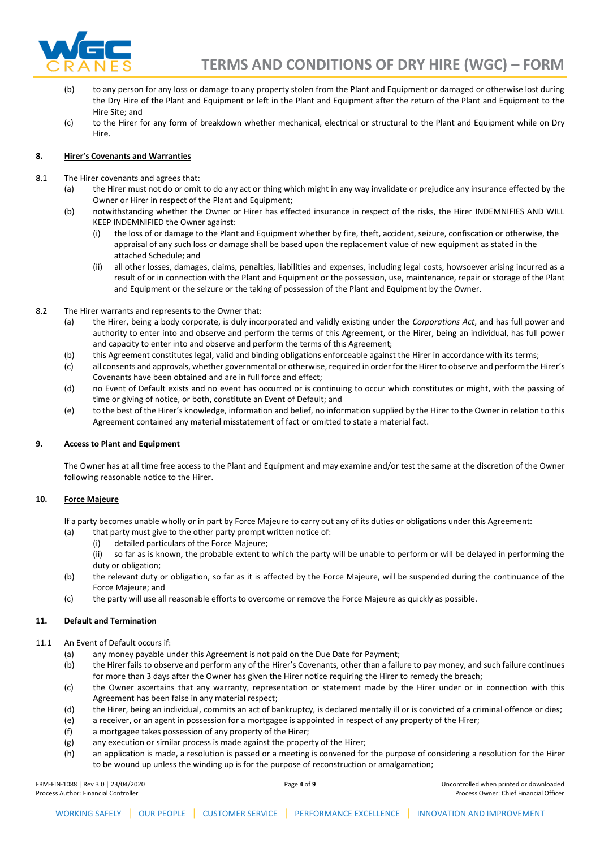

- (b) to any person for any loss or damage to any property stolen from the Plant and Equipment or damaged or otherwise lost during the Dry Hire of the Plant and Equipment or left in the Plant and Equipment after the return of the Plant and Equipment to the Hire Site; and
- (c) to the Hirer for any form of breakdown whether mechanical, electrical or structural to the Plant and Equipment while on Dry Hire.

### **8. Hirer's Covenants and Warranties**

- 8.1 The Hirer covenants and agrees that:
	- (a) the Hirer must not do or omit to do any act or thing which might in any way invalidate or prejudice any insurance effected by the Owner or Hirer in respect of the Plant and Equipment;
	- (b) notwithstanding whether the Owner or Hirer has effected insurance in respect of the risks, the Hirer INDEMNIFIES AND WILL KEEP INDEMNIFIED the Owner against:
		- (i) the loss of or damage to the Plant and Equipment whether by fire, theft, accident, seizure, confiscation or otherwise, the appraisal of any such loss or damage shall be based upon the replacement value of new equipment as stated in the attached Schedule; and
		- (ii) all other losses, damages, claims, penalties, liabilities and expenses, including legal costs, howsoever arising incurred as a result of or in connection with the Plant and Equipment or the possession, use, maintenance, repair or storage of the Plant and Equipment or the seizure or the taking of possession of the Plant and Equipment by the Owner.
- 8.2 The Hirer warrants and represents to the Owner that:
	- (a) the Hirer, being a body corporate, is duly incorporated and validly existing under the *Corporations Act*, and has full power and authority to enter into and observe and perform the terms of this Agreement, or the Hirer, being an individual, has full power and capacity to enter into and observe and perform the terms of this Agreement;
	- (b) this Agreement constitutes legal, valid and binding obligations enforceable against the Hirer in accordance with its terms;
	- (c) all consents and approvals, whether governmental or otherwise, required in order for the Hirer to observe and perform the Hirer's Covenants have been obtained and are in full force and effect;
	- (d) no Event of Default exists and no event has occurred or is continuing to occur which constitutes or might, with the passing of time or giving of notice, or both, constitute an Event of Default; and
	- (e) to the best of the Hirer's knowledge, information and belief, no information supplied by the Hirer to the Owner in relation to this Agreement contained any material misstatement of fact or omitted to state a material fact.

# **9. Access to Plant and Equipment**

The Owner has at all time free access to the Plant and Equipment and may examine and/or test the same at the discretion of the Owner following reasonable notice to the Hirer.

# **10. Force Majeure**

If a party becomes unable wholly or in part by Force Majeure to carry out any of its duties or obligations under this Agreement:

- (a) that party must give to the other party prompt written notice of:
	- (i) detailed particulars of the Force Majeure;
		- (ii) so far as is known, the probable extent to which the party will be unable to perform or will be delayed in performing the duty or obligation;
- (b) the relevant duty or obligation, so far as it is affected by the Force Majeure, will be suspended during the continuance of the Force Majeure; and
- (c) the party will use all reasonable efforts to overcome or remove the Force Majeure as quickly as possible.

# **11. Default and Termination**

- 11.1 An Event of Default occurs if:
	- (a) any money payable under this Agreement is not paid on the Due Date for Payment;
	- (b) the Hirer fails to observe and perform any of the Hirer's Covenants, other than a failure to pay money, and such failure continues for more than 3 days after the Owner has given the Hirer notice requiring the Hirer to remedy the breach;
	- (c) the Owner ascertains that any warranty, representation or statement made by the Hirer under or in connection with this Agreement has been false in any material respect;
	- (d) the Hirer, being an individual, commits an act of bankruptcy, is declared mentally ill or is convicted of a criminal offence or dies;
	- (e) a receiver, or an agent in possession for a mortgagee is appointed in respect of any property of the Hirer;
	- (f) a mortgagee takes possession of any property of the Hirer;
	- (g) any execution or similar process is made against the property of the Hirer;
	- (h) an application is made, a resolution is passed or a meeting is convened for the purpose of considering a resolution for the Hirer to be wound up unless the winding up is for the purpose of reconstruction or amalgamation;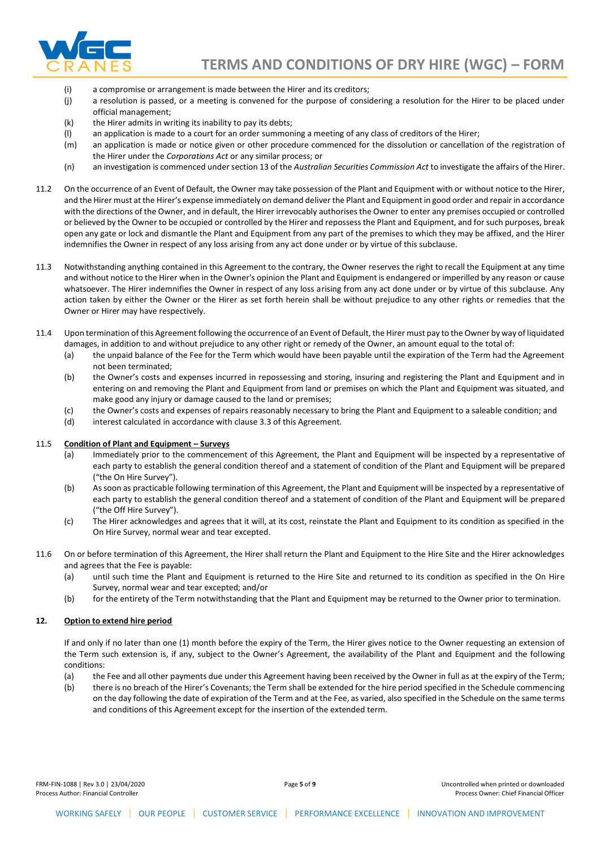

- (i) a compromise or arrangement is made between the Hirer and its creditors;
- (j) a resolution is passed, or a meeting is convened for the purpose of considering a resolution for the Hirer to be placed under official management;
- (k) the Hirer admits in writing its inability to pay its debts;
- (l) an application is made to a court for an order summoning a meeting of any class of creditors of the Hirer;
- (m) an application is made or notice given or other procedure commenced for the dissolution or cancellation of the registration of the Hirer under the *Corporations Act* or any similar process; or
- (n) an investigation is commenced under section 13 of the *Australian Securities Commission Act* to investigate the affairs of the Hirer.
- 11.2 On the occurrence of an Event of Default, the Owner may take possession of the Plant and Equipment with or without notice to the Hirer, and the Hirer must at the Hirer's expense immediately on demand deliver the Plant and Equipment in good order and repair in accordance with the directions of the Owner, and in default, the Hirer irrevocably authorises the Owner to enter any premises occupied or controlled or believed by the Owner to be occupied or controlled by the Hirer and repossess the Plant and Equipment, and for such purposes, break open any gate or lock and dismantle the Plant and Equipment from any part of the premises to which they may be affixed, and the Hirer indemnifies the Owner in respect of any loss arising from any act done under or by virtue of this subclause.
- 11.3 Notwithstanding anything contained in this Agreement to the contrary, the Owner reserves the right to recall the Equipment at any time and without notice to the Hirer when in the Owner's opinion the Plant and Equipment is endangered or imperilled by any reason or cause whatsoever. The Hirer indemnifies the Owner in respect of any loss arising from any act done under or by virtue of this subclause. Any action taken by either the Owner or the Hirer as set forth herein shall be without prejudice to any other rights or remedies that the Owner or Hirer may have respectively.
- 11.4 Upon termination of this Agreement following the occurrence of an Event of Default, the Hirer must pay to the Owner by way of liquidated damages, in addition to and without prejudice to any other right or remedy of the Owner, an amount equal to the total of:
	- (a) the unpaid balance of the Fee for the Term which would have been payable until the expiration of the Term had the Agreement not been terminated;
	- (b) the Owner's costs and expenses incurred in repossessing and storing, insuring and registering the Plant and Equipment and in entering on and removing the Plant and Equipment from land or premises on which the Plant and Equipment was situated, and make good any injury or damage caused to the land or premises;
	- (c) the Owner's costs and expenses of repairs reasonably necessary to bring the Plant and Equipment to a saleable condition; and
	- (d) interest calculated in accordance with clause 3.3 of this Agreement.

#### 11.5 **Condition of Plant and Equipment – Surveys**

- (a) Immediately prior to the commencement of this Agreement, the Plant and Equipment will be inspected by a representative of each party to establish the general condition thereof and a statement of condition of the Plant and Equipment will be prepared ("the On Hire Survey").
- (b) As soon as practicable following termination of this Agreement, the Plant and Equipment will be inspected by a representative of each party to establish the general condition thereof and a statement of condition of the Plant and Equipment will be prepared ("the Off Hire Survey").
- (c) The Hirer acknowledges and agrees that it will, at its cost, reinstate the Plant and Equipment to its condition as specified in the On Hire Survey, normal wear and tear excepted.
- 11.6 On or before termination of this Agreement, the Hirer shall return the Plant and Equipment to the Hire Site and the Hirer acknowledges and agrees that the Fee is payable:
	- (a) until such time the Plant and Equipment is returned to the Hire Site and returned to its condition as specified in the On Hire Survey, normal wear and tear excepted; and/or
	- (b) for the entirety of the Term notwithstanding that the Plant and Equipment may be returned to the Owner prior to termination.

#### **12. Option to extend hire period**

If and only if no later than one (1) month before the expiry of the Term, the Hirer gives notice to the Owner requesting an extension of the Term such extension is, if any, subject to the Owner's Agreement, the availability of the Plant and Equipment and the following conditions:

- (a) the Fee and all other payments due under this Agreement having been received by the Owner in full as at the expiry of the Term;
- (b) there is no breach of the Hirer's Covenants; the Term shall be extended for the hire period specified in the Schedule commencing on the day following the date of expiration of the Term and at the Fee, as varied, also specified in the Schedule on the same terms and conditions of this Agreement except for the insertion of the extended term.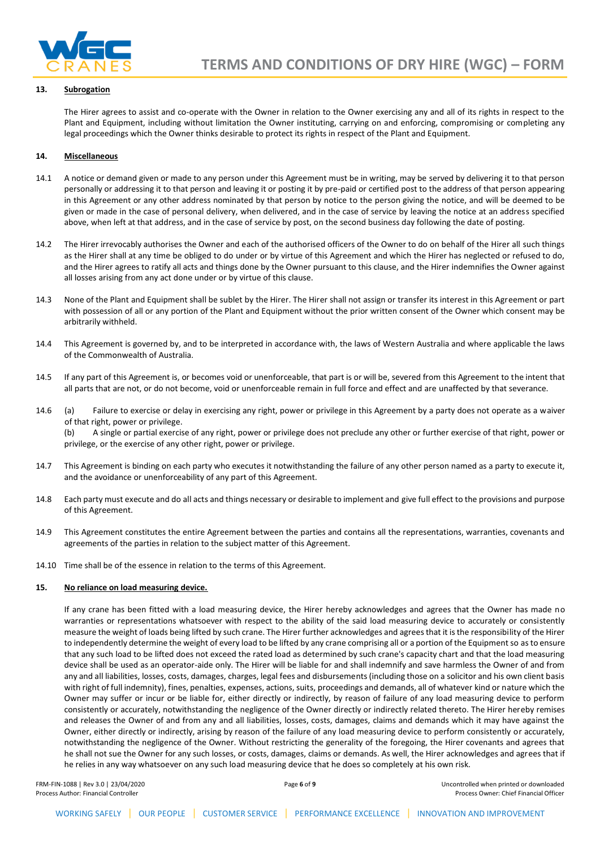

### **13. Subrogation**

The Hirer agrees to assist and co-operate with the Owner in relation to the Owner exercising any and all of its rights in respect to the Plant and Equipment, including without limitation the Owner instituting, carrying on and enforcing, compromising or completing any legal proceedings which the Owner thinks desirable to protect its rights in respect of the Plant and Equipment.

#### **14. Miscellaneous**

- 14.1 A notice or demand given or made to any person under this Agreement must be in writing, may be served by delivering it to that person personally or addressing it to that person and leaving it or posting it by pre-paid or certified post to the address of that person appearing in this Agreement or any other address nominated by that person by notice to the person giving the notice, and will be deemed to be given or made in the case of personal delivery, when delivered, and in the case of service by leaving the notice at an address specified above, when left at that address, and in the case of service by post, on the second business day following the date of posting.
- 14.2 The Hirer irrevocably authorises the Owner and each of the authorised officers of the Owner to do on behalf of the Hirer all such things as the Hirer shall at any time be obliged to do under or by virtue of this Agreement and which the Hirer has neglected or refused to do, and the Hirer agrees to ratify all acts and things done by the Owner pursuant to this clause, and the Hirer indemnifies the Owner against all losses arising from any act done under or by virtue of this clause.
- 14.3 None of the Plant and Equipment shall be sublet by the Hirer. The Hirer shall not assign or transfer its interest in this Agreement or part with possession of all or any portion of the Plant and Equipment without the prior written consent of the Owner which consent may be arbitrarily withheld.
- 14.4 This Agreement is governed by, and to be interpreted in accordance with, the laws of Western Australia and where applicable the laws of the Commonwealth of Australia.
- 14.5 If any part of this Agreement is, or becomes void or unenforceable, that part is or will be, severed from this Agreement to the intent that all parts that are not, or do not become, void or unenforceable remain in full force and effect and are unaffected by that severance.
- 14.6 (a) Failure to exercise or delay in exercising any right, power or privilege in this Agreement by a party does not operate as a waiver of that right, power or privilege.

(b) A single or partial exercise of any right, power or privilege does not preclude any other or further exercise of that right, power or privilege, or the exercise of any other right, power or privilege.

- 14.7 This Agreement is binding on each party who executes it notwithstanding the failure of any other person named as a party to execute it, and the avoidance or unenforceability of any part of this Agreement.
- 14.8 Each party must execute and do all acts and things necessary or desirable to implement and give full effect to the provisions and purpose of this Agreement.
- 14.9 This Agreement constitutes the entire Agreement between the parties and contains all the representations, warranties, covenants and agreements of the parties in relation to the subject matter of this Agreement.
- 14.10 Time shall be of the essence in relation to the terms of this Agreement.

#### **15. No reliance on load measuring device.**

If any crane has been fitted with a load measuring device, the Hirer hereby acknowledges and agrees that the Owner has made no warranties or representations whatsoever with respect to the ability of the said load measuring device to accurately or consistently measure the weight of loads being lifted by such crane. The Hirer further acknowledges and agrees that it is the responsibility of the Hirer to independently determine the weight of every load to be lifted by any crane comprising all or a portion of the Equipment so as to ensure that any such load to be lifted does not exceed the rated load as determined by such crane's capacity chart and that the load measuring device shall be used as an operator-aide only. The Hirer will be liable for and shall indemnify and save harmless the Owner of and from any and all liabilities, losses, costs, damages, charges, legal fees and disbursements (including those on a solicitor and his own client basis with right of full indemnity), fines, penalties, expenses, actions, suits, proceedings and demands, all of whatever kind or nature which the Owner may suffer or incur or be liable for, either directly or indirectly, by reason of failure of any load measuring device to perform consistently or accurately, notwithstanding the negligence of the Owner directly or indirectly related thereto. The Hirer hereby remises and releases the Owner of and from any and all liabilities, losses, costs, damages, claims and demands which it may have against the Owner, either directly or indirectly, arising by reason of the failure of any load measuring device to perform consistently or accurately, notwithstanding the negligence of the Owner. Without restricting the generality of the foregoing, the Hirer covenants and agrees that he shall not sue the Owner for any such losses, or costs, damages, claims or demands. As well, the Hirer acknowledges and agrees that if he relies in any way whatsoever on any such load measuring device that he does so completely at his own risk.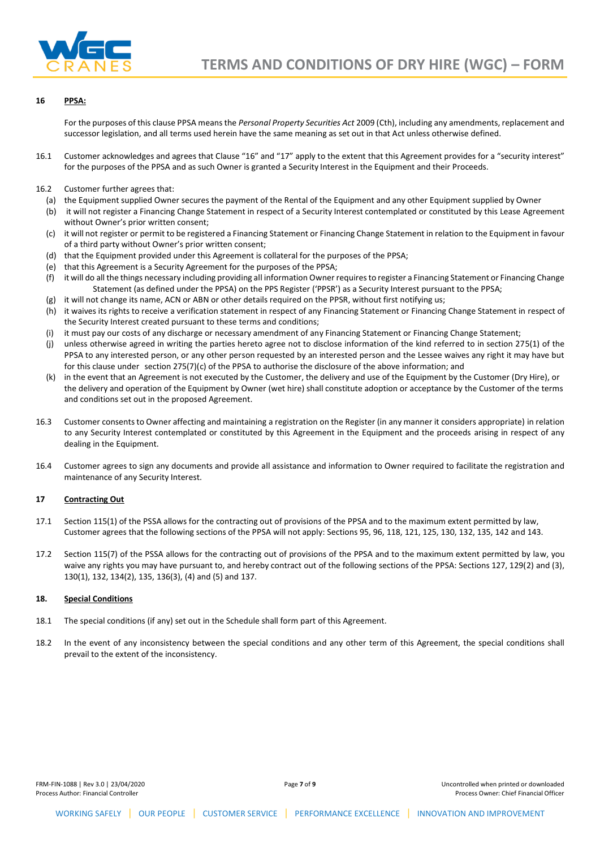

# **16 PPSA:**

For the purposes of this clause PPSA means the *Personal Property Securities Act* 2009 (Cth), including any amendments, replacement and successor legislation, and all terms used herein have the same meaning as set out in that Act unless otherwise defined.

- 16.1 Customer acknowledges and agrees that Clause "16" and "17" apply to the extent that this Agreement provides for a "security interest" for the purposes of the PPSA and as such Owner is granted a Security Interest in the Equipment and their Proceeds.
- 16.2 Customer further agrees that:
	- (a) the Equipment supplied Owner secures the payment of the Rental of the Equipment and any other Equipment supplied by Owner
	- (b) it will not register a Financing Change Statement in respect of a Security Interest contemplated or constituted by this Lease Agreement without Owner's prior written consent;
	- (c) it will not register or permit to be registered a Financing Statement or Financing Change Statement in relation to the Equipment in favour of a third party without Owner's prior written consent;
	- (d) that the Equipment provided under this Agreement is collateral for the purposes of the PPSA;
	- (e) that this Agreement is a Security Agreement for the purposes of the PPSA;
	- (f) it will do all the things necessary including providing all information Owner requires to register a Financing Statement or Financing Change Statement (as defined under the PPSA) on the PPS Register ('PPSR') as a Security Interest pursuant to the PPSA;
	- (g) it will not change its name, ACN or ABN or other details required on the PPSR, without first notifying us;
	- (h) it waives its rights to receive a verification statement in respect of any Financing Statement or Financing Change Statement in respect of the Security Interest created pursuant to these terms and conditions;
	- (i) it must pay our costs of any discharge or necessary amendment of any Financing Statement or Financing Change Statement;
	- (j) unless otherwise agreed in writing the parties hereto agree not to disclose information of the kind referred to in section 275(1) of the PPSA to any interested person, or any other person requested by an interested person and the Lessee waives any right it may have but for this clause under section 275(7)(c) of the PPSA to authorise the disclosure of the above information; and
	- (k) in the event that an Agreement is not executed by the Customer, the delivery and use of the Equipment by the Customer (Dry Hire), or the delivery and operation of the Equipment by Owner (wet hire) shall constitute adoption or acceptance by the Customer of the terms and conditions set out in the proposed Agreement.
- 16.3 Customer consents to Owner affecting and maintaining a registration on the Register (in any manner it considers appropriate) in relation to any Security Interest contemplated or constituted by this Agreement in the Equipment and the proceeds arising in respect of any dealing in the Equipment.
- 16.4 Customer agrees to sign any documents and provide all assistance and information to Owner required to facilitate the registration and maintenance of any Security Interest.

# **17 Contracting Out**

- 17.1 Section 115(1) of the PSSA allows for the contracting out of provisions of the PPSA and to the maximum extent permitted by law, Customer agrees that the following sections of the PPSA will not apply: Sections 95, 96, 118, 121, 125, 130, 132, 135, 142 and 143.
- 17.2 Section 115(7) of the PSSA allows for the contracting out of provisions of the PPSA and to the maximum extent permitted by law, you waive any rights you may have pursuant to, and hereby contract out of the following sections of the PPSA: Sections 127, 129(2) and (3), 130(1), 132, 134(2), 135, 136(3), (4) and (5) and 137.

#### **18. Special Conditions**

- 18.1 The special conditions (if any) set out in the Schedule shall form part of this Agreement.
- 18.2 In the event of any inconsistency between the special conditions and any other term of this Agreement, the special conditions shall prevail to the extent of the inconsistency.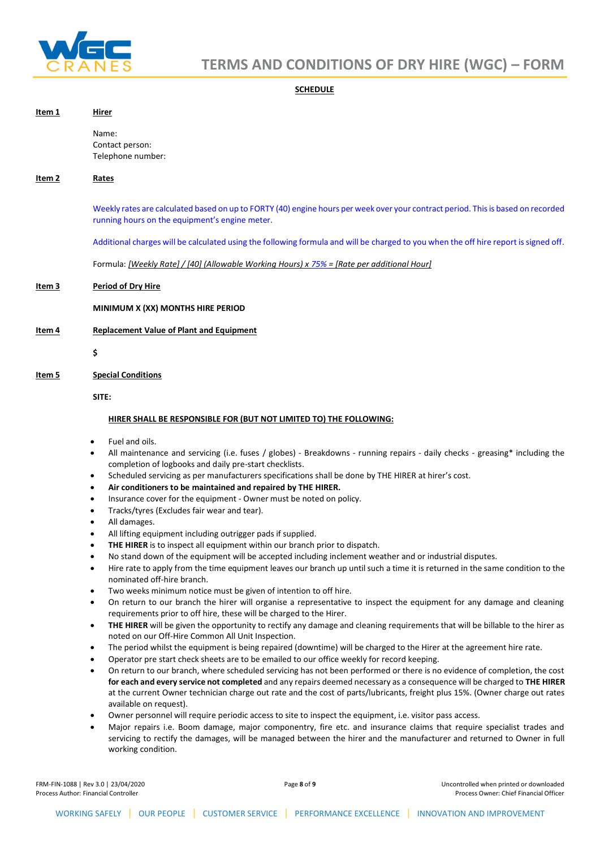

# **SCHEDULE**

| Item 1 | Hirer                                                                                                                                                                                                                                                                                                                                                                                                                                                                                                                                                                                                                                                                                                                                                                                                                                                                                                                                                                                                                                                                                                                                         |
|--------|-----------------------------------------------------------------------------------------------------------------------------------------------------------------------------------------------------------------------------------------------------------------------------------------------------------------------------------------------------------------------------------------------------------------------------------------------------------------------------------------------------------------------------------------------------------------------------------------------------------------------------------------------------------------------------------------------------------------------------------------------------------------------------------------------------------------------------------------------------------------------------------------------------------------------------------------------------------------------------------------------------------------------------------------------------------------------------------------------------------------------------------------------|
|        | Name:<br>Contact person:<br>Telephone number:                                                                                                                                                                                                                                                                                                                                                                                                                                                                                                                                                                                                                                                                                                                                                                                                                                                                                                                                                                                                                                                                                                 |
| Item 2 | <u>Rates</u>                                                                                                                                                                                                                                                                                                                                                                                                                                                                                                                                                                                                                                                                                                                                                                                                                                                                                                                                                                                                                                                                                                                                  |
|        | Weekly rates are calculated based on up to FORTY (40) engine hours per week over your contract period. This is based on recorded<br>running hours on the equipment's engine meter.                                                                                                                                                                                                                                                                                                                                                                                                                                                                                                                                                                                                                                                                                                                                                                                                                                                                                                                                                            |
|        | Additional charges will be calculated using the following formula and will be charged to you when the off hire report is signed off.                                                                                                                                                                                                                                                                                                                                                                                                                                                                                                                                                                                                                                                                                                                                                                                                                                                                                                                                                                                                          |
|        | Formula: [Weekly Rate] / [40] (Allowable Working Hours) x 75% = [Rate per additional Hour]                                                                                                                                                                                                                                                                                                                                                                                                                                                                                                                                                                                                                                                                                                                                                                                                                                                                                                                                                                                                                                                    |
| Item 3 | <b>Period of Dry Hire</b>                                                                                                                                                                                                                                                                                                                                                                                                                                                                                                                                                                                                                                                                                                                                                                                                                                                                                                                                                                                                                                                                                                                     |
|        | MINIMUM X (XX) MONTHS HIRE PERIOD                                                                                                                                                                                                                                                                                                                                                                                                                                                                                                                                                                                                                                                                                                                                                                                                                                                                                                                                                                                                                                                                                                             |
| ltem 4 | <b>Replacement Value of Plant and Equipment</b>                                                                                                                                                                                                                                                                                                                                                                                                                                                                                                                                                                                                                                                                                                                                                                                                                                                                                                                                                                                                                                                                                               |
|        | \$                                                                                                                                                                                                                                                                                                                                                                                                                                                                                                                                                                                                                                                                                                                                                                                                                                                                                                                                                                                                                                                                                                                                            |
| Item 5 | <b>Special Conditions</b>                                                                                                                                                                                                                                                                                                                                                                                                                                                                                                                                                                                                                                                                                                                                                                                                                                                                                                                                                                                                                                                                                                                     |
|        | SITE:                                                                                                                                                                                                                                                                                                                                                                                                                                                                                                                                                                                                                                                                                                                                                                                                                                                                                                                                                                                                                                                                                                                                         |
|        | HIRER SHALL BE RESPONSIBLE FOR (BUT NOT LIMITED TO) THE FOLLOWING:                                                                                                                                                                                                                                                                                                                                                                                                                                                                                                                                                                                                                                                                                                                                                                                                                                                                                                                                                                                                                                                                            |
|        | Fuel and oils.<br>$\bullet$<br>All maintenance and servicing (i.e. fuses / globes) - Breakdowns - running repairs - daily checks - greasing* including the<br>$\bullet$<br>completion of logbooks and daily pre-start checklists.<br>Scheduled servicing as per manufacturers specifications shall be done by THE HIRER at hirer's cost.<br>$\bullet$<br>Air conditioners to be maintained and repaired by THE HIRER.<br>$\bullet$<br>Insurance cover for the equipment - Owner must be noted on policy.<br>$\bullet$<br>Tracks/tyres (Excludes fair wear and tear).<br>$\bullet$<br>All damages.<br>$\bullet$<br>All lifting equipment including outrigger pads if supplied.<br>THE HIRER is to inspect all equipment within our branch prior to dispatch.<br>٠<br>No stand down of the equipment will be accepted including inclement weather and or industrial disputes.<br>٠<br>Hire rate to apply from the time equipment leaves our branch up until such a time it is returned in the same condition to the<br>$\bullet$<br>nominated off-hire branch.<br>Two weeks minimum notice must be given of intention to off hire.<br>$\bullet$ |
|        | On return to our branch the hirer will organise a representative to inspect the equipment for any damage and cleaning<br>$\bullet$<br>requirements prior to off hire, these will be charged to the Hirer.<br>THE HIRER will be given the opportunity to rectify any damage and cleaning requirements that will be billable to the hirer as<br>$\bullet$                                                                                                                                                                                                                                                                                                                                                                                                                                                                                                                                                                                                                                                                                                                                                                                       |

- noted on our Off-Hire Common All Unit Inspection.
- The period whilst the equipment is being repaired (downtime) will be charged to the Hirer at the agreement hire rate.
- Operator pre start check sheets are to be emailed to our office weekly for record keeping.
- On return to our branch, where scheduled servicing has not been performed or there is no evidence of completion, the cost **for each and every service not completed** and any repairs deemed necessary as a consequence will be charged to **THE HIRER** at the current Owner technician charge out rate and the cost of parts/lubricants, freight plus 15%. (Owner charge out rates available on request).
- Owner personnel will require periodic access to site to inspect the equipment, i.e. visitor pass access.
- Major repairs i.e. Boom damage, major componentry, fire etc. and insurance claims that require specialist trades and servicing to rectify the damages, will be managed between the hirer and the manufacturer and returned to Owner in full working condition.